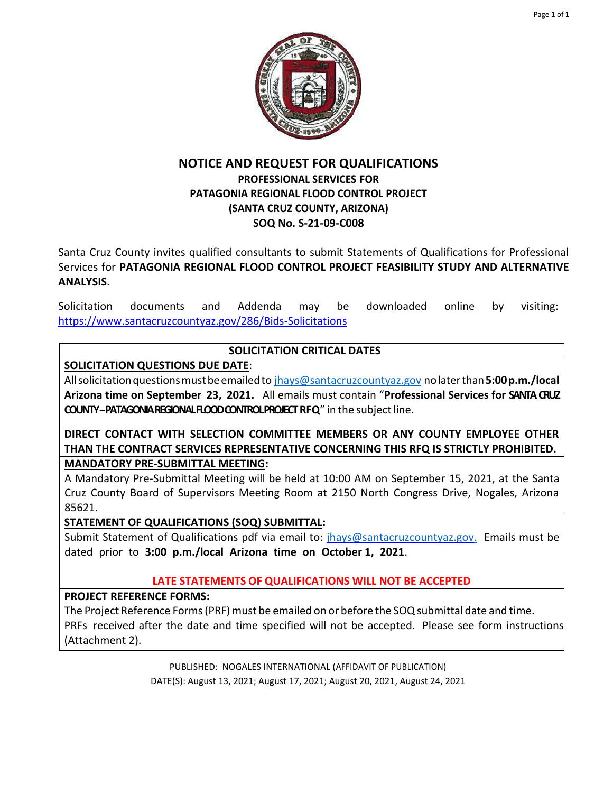

# **NOTICE AND REQUEST FOR QUALIFICATIONS PROFESSIONAL SERVICES FOR PATAGONIA REGIONAL FLOOD CONTROL PROJECT (SANTA CRUZ COUNTY, ARIZONA) SOQ No. S-21-09-C008**

Santa Cruz County invites qualified consultants to submit Statements of Qualifications for Professional Services for **PATAGONIA REGIONAL FLOOD CONTROL PROJECT FEASIBILITY STUDY AND ALTERNATIVE ANALYSIS**.

Solicitation documents and Addenda may be downloaded online by visiting: https://www.santacruzcountyaz.gov/286/Bids-Solicitations

# **SOLICITATION CRITICAL DATES**

# **SOLICITATION QUESTIONS DUE DATE**:

Allsolicitationquestionsmustbeemailedto [jhays@santacruzcountyaz.gov](mailto:jhays@santacruzcountyaz.gov) nolaterthan**5:00p.m./local Arizona time on September 23, 2021.** All emails must contain "**Professional Services for SANTA CRUZ COUNTY-PATAGONIA REGIONAL FLOOD CONTROL PROJECT RFQ"** in the subject line.

**DIRECT CONTACT WITH SELECTION COMMITTEE MEMBERS OR ANY COUNTY EMPLOYEE OTHER THAN THE CONTRACT SERVICES REPRESENTATIVE CONCERNING THIS RFQ IS STRICTLY PROHIBITED. MANDATORY PRE-SUBMITTAL MEETING:**

A Mandatory Pre-Submittal Meeting will be held at 10:00 AM on September 15, 2021, at the Santa Cruz County Board of Supervisors Meeting Room at 2150 North Congress Drive, Nogales, Arizona 85621.

# **STATEMENT OF QUALIFICATIONS (SOQ) SUBMITTAL:**

Submit Statement of Qualifications pdf via email to: [jhays@santacruzcountyaz.gov.](mailto:jhays@santacruzcountyaz.gov.) Emails must be dated prior to **3:00 p.m./local Arizona time on October 1, 2021**.

# **LATE STATEMENTS OF QUALIFICATIONS WILL NOT BE ACCEPTED**

# **PROJECT REFERENCE FORMS:**

The Project Reference Forms (PRF) must be emailed on or before the SOQ submittal date and time. PRFs received after the date and time specified will not be accepted. Please see form instructions (Attachment 2).

> PUBLISHED: NOGALES INTERNATIONAL (AFFIDAVIT OF PUBLICATION) DATE(S): August 13, 2021; August 17, 2021; August 20, 2021, August 24, 2021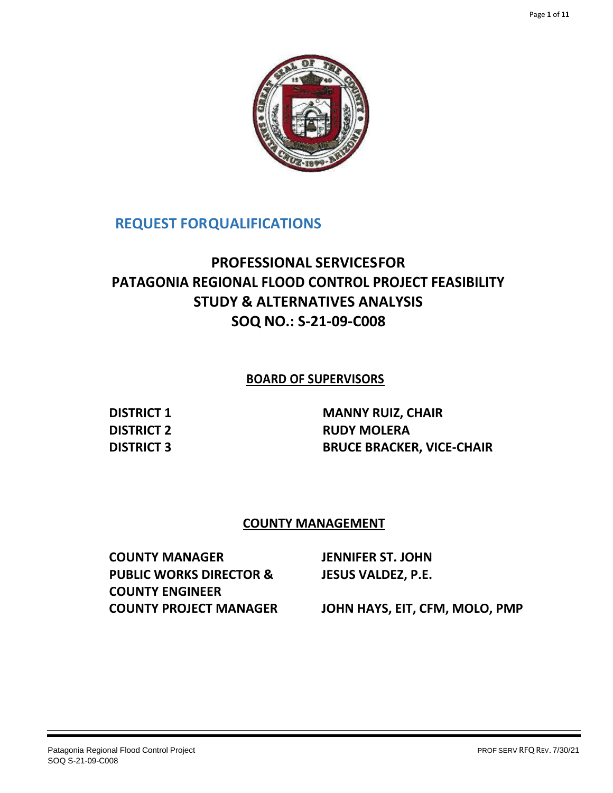

# **REQUEST FORQUALIFICATIONS**

# **PROFESSIONAL SERVICESFOR PATAGONIA REGIONAL FLOOD CONTROL PROJECT FEASIBILITY STUDY & ALTERNATIVES ANALYSIS SOQ NO.: S-21-09-C008**

# **BOARD OF SUPERVISORS**

**DISTRICT 1 MANNY RUIZ, CHAIR DISTRICT 2 RUDY MOLERA DISTRICT 3 BRUCE BRACKER, VICE-CHAIR**

## **COUNTY MANAGEMENT**

**COUNTY MANAGER JENNIFER ST. JOHN PUBLIC WORKS DIRECTOR & COUNTY ENGINEER JESUS VALDEZ, P.E. COUNTY PROJECT MANAGER JOHN HAYS, EIT, CFM, MOLO, PMP**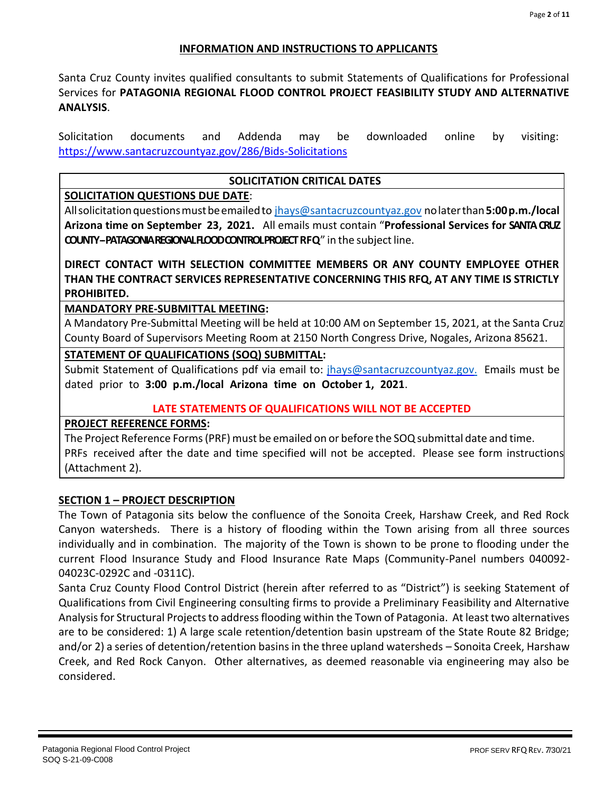#### **INFORMATION AND INSTRUCTIONS TO APPLICANTS**

Santa Cruz County invites qualified consultants to submit Statements of Qualifications for Professional Services for **PATAGONIA REGIONAL FLOOD CONTROL PROJECT FEASIBILITY STUDY AND ALTERNATIVE ANALYSIS**.

Solicitation documents and Addenda may be downloaded online by visiting: https://www.santacruzcountyaz.gov/286/Bids-Solicitations

#### **SOLICITATION CRITICAL DATES**

## **SOLICITATION QUESTIONS DUE DATE**:

Allsolicitationquestionsmustbeemailedto [jhays@santacruzcountyaz.gov](mailto:jhays@santacruzcountyaz.gov) nolaterthan**5:00p.m./local Arizona time on September 23, 2021.** All emails must contain "**Professional Services for SANTA CRUZ COUNTY-PATAGONIA REGIONAL FLOOD CONTROL PROJECT RFQ**" in the subject line.

**DIRECT CONTACT WITH SELECTION COMMITTEE MEMBERS OR ANY COUNTY EMPLOYEE OTHER THAN THE CONTRACT SERVICES REPRESENTATIVE CONCERNING THIS RFQ, AT ANY TIME IS STRICTLY PROHIBITED.**

#### **MANDATORY PRE-SUBMITTAL MEETING:**

A Mandatory Pre-Submittal Meeting will be held at 10:00 AM on September 15, 2021, at the Santa Cruz County Board of Supervisors Meeting Room at 2150 North Congress Drive, Nogales, Arizona 85621.

#### **STATEMENT OF QUALIFICATIONS (SOQ) SUBMITTAL:**

Submit Statement of Qualifications pdf via email to: [jhays@santacruzcountyaz.gov.](mailto:jhays@santacruzcountyaz.gov.) Emails must be dated prior to **3:00 p.m./local Arizona time on October 1, 2021**.

#### **LATE STATEMENTS OF QUALIFICATIONS WILL NOT BE ACCEPTED**

#### **PROJECT REFERENCE FORMS:**

The Project Reference Forms (PRF) must be emailed on or before the SOQ submittal date and time. PRFs received after the date and time specified will not be accepted. Please see form instructions (Attachment 2).

#### **SECTION 1 – PROJECT DESCRIPTION**

The Town of Patagonia sits below the confluence of the Sonoita Creek, Harshaw Creek, and Red Rock Canyon watersheds. There is a history of flooding within the Town arising from all three sources individually and in combination. The majority of the Town is shown to be prone to flooding under the current Flood Insurance Study and Flood Insurance Rate Maps (Community-Panel numbers 040092- 04023C-0292C and -0311C).

Santa Cruz County Flood Control District (herein after referred to as "District") is seeking Statement of Qualifications from Civil Engineering consulting firms to provide a Preliminary Feasibility and Alternative Analysis for Structural Projects to address flooding within the Town of Patagonia. At least two alternatives are to be considered: 1) A large scale retention/detention basin upstream of the State Route 82 Bridge; and/or 2) a series of detention/retention basins in the three upland watersheds – Sonoita Creek, Harshaw Creek, and Red Rock Canyon. Other alternatives, as deemed reasonable via engineering may also be considered.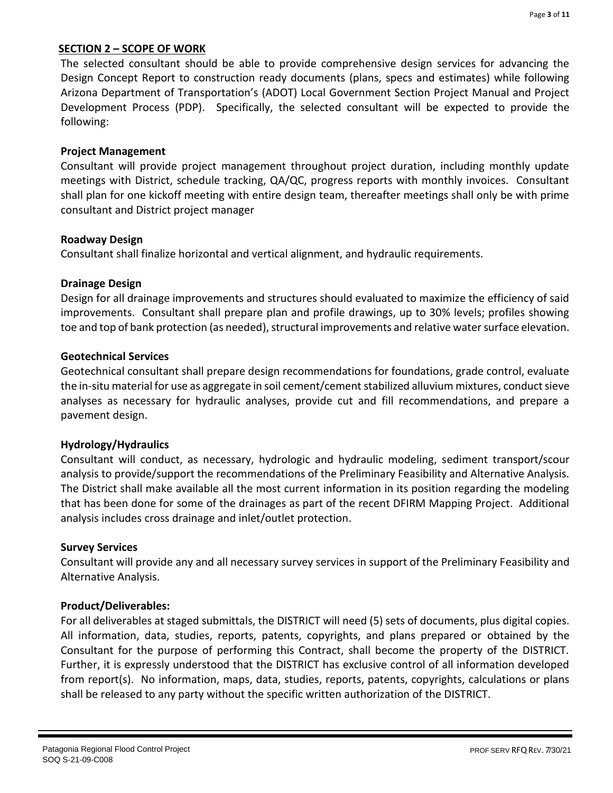#### **SECTION 2 – SCOPE OF WORK**

The selected consultant should be able to provide comprehensive design services for advancing the Design Concept Report to construction ready documents (plans, specs and estimates) while following Arizona Department of Transportation's (ADOT) Local Government Section Project Manual and Project Development Process (PDP). Specifically, the selected consultant will be expected to provide the following:

## **Project Management**

Consultant will provide project management throughout project duration, including monthly update meetings with District, schedule tracking, QA/QC, progress reports with monthly invoices. Consultant shall plan for one kickoff meeting with entire design team, thereafter meetings shall only be with prime consultant and District project manager

#### **Roadway Design**

Consultant shall finalize horizontal and vertical alignment, and hydraulic requirements.

#### **Drainage Design**

Design for all drainage improvements and structures should evaluated to maximize the efficiency of said improvements. Consultant shall prepare plan and profile drawings, up to 30% levels; profiles showing toe and top of bank protection (as needed), structural improvements and relative water surface elevation.

#### **Geotechnical Services**

Geotechnical consultant shall prepare design recommendations for foundations, grade control, evaluate the in-situ material for use as aggregate in soil cement/cement stabilized alluvium mixtures, conduct sieve analyses as necessary for hydraulic analyses, provide cut and fill recommendations, and prepare a pavement design.

## **Hydrology/Hydraulics**

Consultant will conduct, as necessary, hydrologic and hydraulic modeling, sediment transport/scour analysis to provide/support the recommendations of the Preliminary Feasibility and Alternative Analysis. The District shall make available all the most current information in its position regarding the modeling that has been done for some of the drainages as part of the recent DFIRM Mapping Project. Additional analysis includes cross drainage and inlet/outlet protection.

#### **Survey Services**

Consultant will provide any and all necessary survey services in support of the Preliminary Feasibility and Alternative Analysis.

## **Product/Deliverables:**

For all deliverables at staged submittals, the DISTRICT will need (5) sets of documents, plus digital copies. All information, data, studies, reports, patents, copyrights, and plans prepared or obtained by the Consultant for the purpose of performing this Contract, shall become the property of the DISTRICT. Further, it is expressly understood that the DISTRICT has exclusive control of all information developed from report(s). No information, maps, data, studies, reports, patents, copyrights, calculations or plans shall be released to any party without the specific written authorization of the DISTRICT.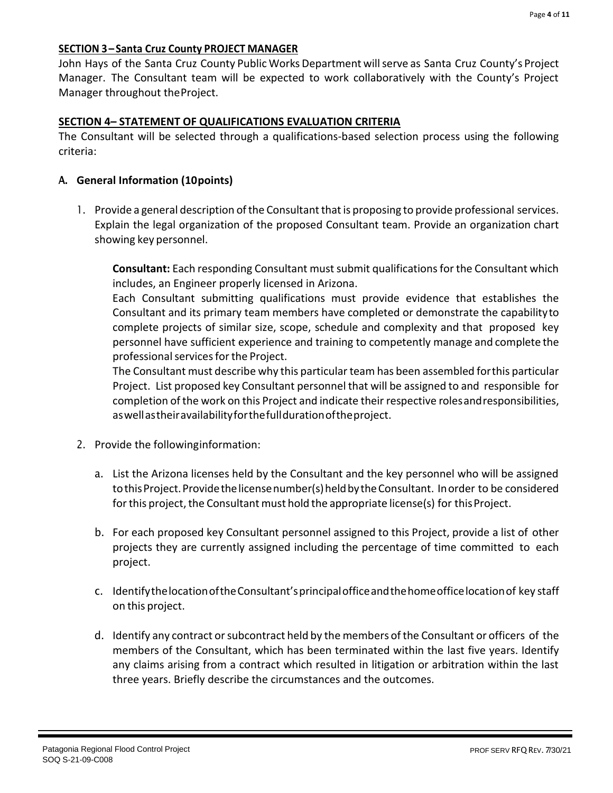#### **SECTION 3 – Santa Cruz County PROJECT MANAGER**

John Hays of the Santa Cruz County Public Works Department will serve as Santa Cruz County's Project Manager. The Consultant team will be expected to work collaboratively with the County's Project Manager throughout theProject.

#### **SECTION 4– STATEMENT OF QUALIFICATIONS EVALUATION CRITERIA**

The Consultant will be selected through a qualifications-based selection process using the following criteria:

#### **A. General Information (10points)**

1. Provide a general description of the Consultant that is proposing to provide professional services. Explain the legal organization of the proposed Consultant team. Provide an organization chart showing key personnel.

**Consultant:** Each responding Consultant must submit qualifications for the Consultant which includes, an Engineer properly licensed in Arizona.

Each Consultant submitting qualifications must provide evidence that establishes the Consultant and its primary team members have completed or demonstrate the capabilityto complete projects of similar size, scope, schedule and complexity and that proposed key personnel have sufficient experience and training to competently manage and complete the professional services for the Project.

The Consultant must describe why this particular team has been assembled forthis particular Project. List proposed key Consultant personnel that will be assigned to and responsible for completion of the work on this Project and indicate their respective rolesandresponsibilities, aswellastheiravailabilityforthefulldurationoftheproject.

- 2. Provide the followinginformation:
	- a. List the Arizona licenses held by the Consultant and the key personnel who will be assigned to this Project. Provide the license number(s) held by the Consultant. In order to be considered for this project, the Consultant must hold the appropriate license(s) for this Project.
	- b. For each proposed key Consultant personnel assigned to this Project, provide a list of other projects they are currently assigned including the percentage of time committed to each project.
	- c. IdentifythelocationoftheConsultant'sprincipalofficeandthehomeofficelocationof key staff on this project.
	- d. Identify any contract or subcontract held by the members of the Consultant or officers of the members of the Consultant, which has been terminated within the last five years. Identify any claims arising from a contract which resulted in litigation or arbitration within the last three years. Briefly describe the circumstances and the outcomes.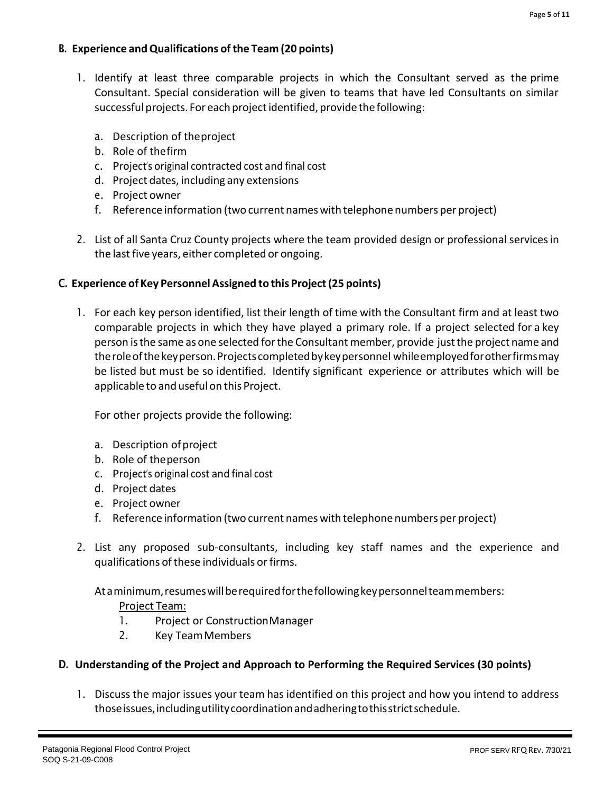## **B. Experience andQualifications of the Team (20 points)**

- 1. Identify at least three comparable projects in which the Consultant served as the prime Consultant. Special consideration will be given to teams that have led Consultants on similar successful projects. For each project identified, provide the following:
	- a. Description of theproject
	- b. Role of thefirm
	- c. Project's original contracted cost and final cost
	- d. Project dates, including any extensions
	- e. Project owner
	- f. Reference information (two current nameswith telephone numbers per project)
- 2. List of all Santa Cruz County projects where the team provided design or professional servicesin the last five years, either completed or ongoing.

## **C. Experience of Key PersonnelAssigned to this Project(25 points)**

1. For each key person identified, list their length of time with the Consultant firm and at least two comparable projects in which they have played a primary role. If a project selected for a key person isthe same as one selected forthe Consultant member, provide justthe project name and theroleofthekeyperson.Projectscompletedbykeypersonnel whileemployedforotherfirmsmay be listed but must be so identified. Identify significant experience or attributes which will be applicable to and useful on this Project.

For other projects provide the following:

- a. Description ofproject
- b. Role of theperson
- c. Project's original cost and final cost
- d. Project dates
- e. Project owner
- f. Reference information (two current nameswith telephone numbers per project)
- 2. List any proposed sub-consultants, including key staff names and the experience and qualifications of these individuals or firms.

At a minimum, resumes will be required for the following key personnel team members:

## Project Team:

- 1. Project or ConstructionManager
- 2. Key TeamMembers

## **D. Understanding of the Project and Approach to Performing the Required Services (30 points)**

1. Discuss the major issues your team has identified on this project and how you intend to address thoseissues,includingutilitycoordinationandadheringtothisstrictschedule.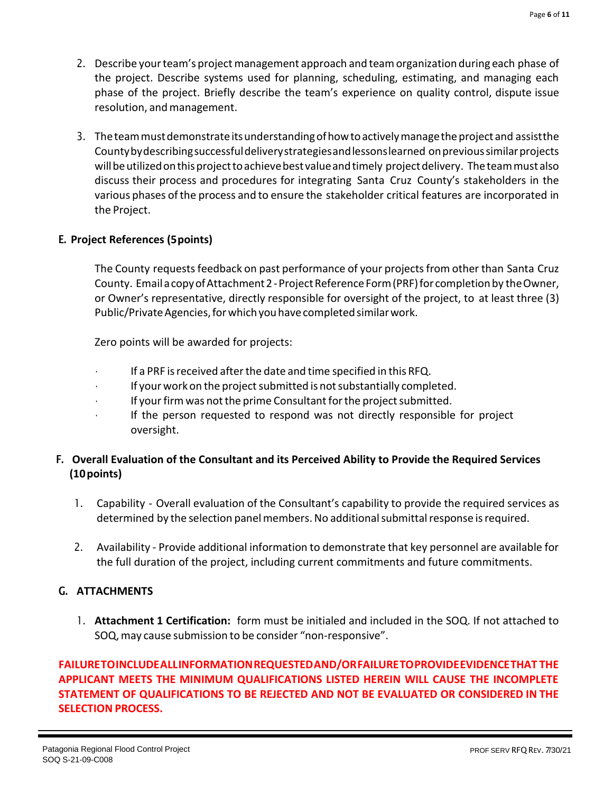- 2. Describe your team's project management approach and team organization during each phase of the project. Describe systems used for planning, scheduling, estimating, and managing each phase of the project. Briefly describe the team's experience on quality control, dispute issue resolution, and management.
- 3. Theteammustdemonstrateitsunderstandingofhowtoactivelymanagetheprojectand assistthe Countybydescribingsuccessfuldeliverystrategiesandlessonslearned onprevioussimilarprojects will be utilized on this project to achieve best value and timely project delivery. The team must also discuss their process and procedures for integrating Santa Cruz County's stakeholders in the various phases ofthe process and to ensure the stakeholder critical features are incorporated in the Project.

## **E. Project References (5points)**

The County requests feedback on past performance of your projects from other than Santa Cruz County. Email a copy of Attachment 2 - Project Reference Form (PRF) for completion by the Owner, or Owner's representative, directly responsible for oversight of the project, to at least three (3) Public/Private Agencies, for which you have completed similar work.

Zero points will be awarded for projects:

- If a PRF is received after the date and time specified in this RFQ.
- If your work on the project submitted is not substantially completed.
- If your firm was not the prime Consultant for the project submitted.
- If the person requested to respond was not directly responsible for project oversight.

# **F. Overall Evaluation of the Consultant and its Perceived Ability to Provide the Required Services (10points)**

- 1. Capability Overall evaluation of the Consultant's capability to provide the required services as determined by the selection panel members. No additional submittal response is required.
- 2. Availability Provide additional information to demonstrate that key personnel are available for the full duration of the project, including current commitments and future commitments.

## **G. ATTACHMENTS**

1. **Attachment 1 Certification:** form must be initialed and included in the SOQ. If not attached to SOQ,may cause submission to be consider "non-responsive".

# **FAILURETOINCLUDEALLINFORMATIONREQUESTEDAND/ORFAILURETOPROVIDEEVIDENCETHAT THE APPLICANT MEETS THE MINIMUM QUALIFICATIONS LISTED HEREIN WILL CAUSE THE INCOMPLETE STATEMENT OF QUALIFICATIONS TO BE REJECTED AND NOT BE EVALUATED OR CONSIDERED IN THE SELECTION PROCESS.**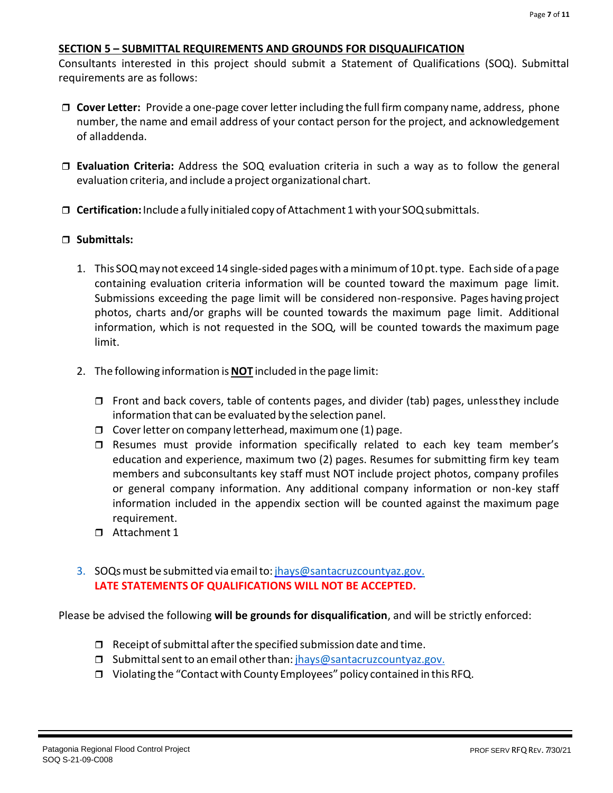#### **SECTION 5 – SUBMITTAL REQUIREMENTS AND GROUNDS FOR DISQUALIFICATION**

Consultants interested in this project should submit a Statement of Qualifications (SOQ). Submittal requirements are as follows:

- **Cover Letter:** Provide a one-page cover letterincluding the full firm company name, address, phone number, the name and email address of your contact person for the project, and acknowledgement of alladdenda.
- **Evaluation Criteria:** Address the SOQ evaluation criteria in such a way as to follow the general evaluation criteria, and include a project organizational chart.
- **Certification:**Include a fully initialed copy ofAttachment 1with your SOQsubmittals.

#### **Submittals:**

- 1. This SOQmay not exceed 14 single-sided pageswith aminimumof 10 pt.type. Each side of apage containing evaluation criteria information will be counted toward the maximum page limit. Submissions exceeding the page limit will be considered non-responsive. Pages having project photos, charts and/or graphs will be counted towards the maximum page limit. Additional information, which is not requested in the SOQ, will be counted towards the maximum page limit.
- 2. The following information is**NOT** included in the page limit:
	- $\Box$  Front and back covers, table of contents pages, and divider (tab) pages, unlessthey include information that can be evaluated by the selection panel.
	- $\Box$  Cover letter on company letterhead, maximum one (1) page.
	- $\square$  Resumes must provide information specifically related to each key team member's education and experience, maximum two (2) pages. Resumes for submitting firm key team members and subconsultants key staff must NOT include project photos, company profiles or general company information. Any additional company information or non-key staff information included in the appendix section will be counted against the maximum page requirement.
	- Attachment 1
- 3. SOQsmust be submitted via emailto: [jhays@santacruzcountyaz.gov.](mailto:jhays@santacruzcountyaz.gov.) **LATE STATEMENTS OF QUALIFICATIONS WILL NOT BE ACCEPTED.**

Please be advised the following **will be grounds for disqualification**, and will be strictly enforced:

- $\Box$  Receipt of submittal after the specified submission date and time.
- □ Submittal sent to an email other than: [jhays@santacruzcountyaz.gov.](mailto:jhays@santacruzcountyaz.gov.)
- □ Violating the "Contact with County Employees" policy contained in this RFQ.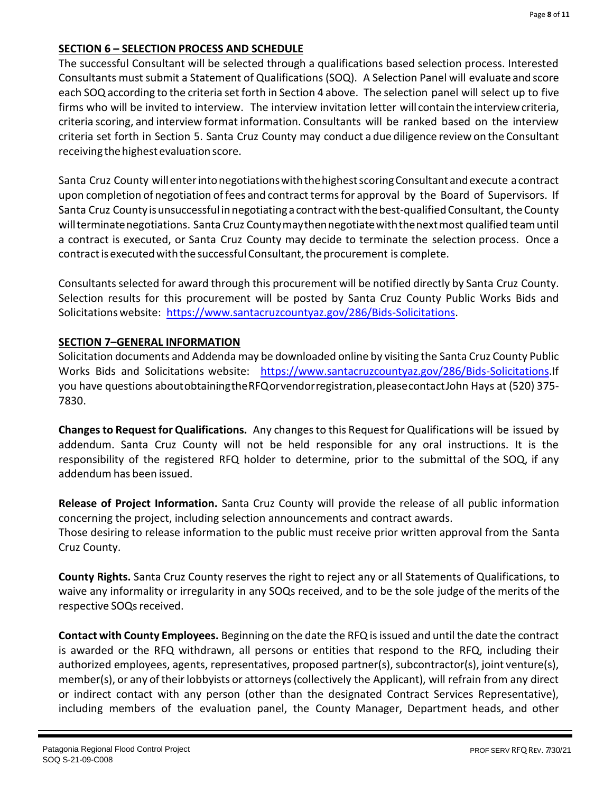## **SECTION 6 – SELECTION PROCESS AND SCHEDULE**

The successful Consultant will be selected through a qualifications based selection process. Interested Consultants must submit a Statement of Qualifications (SOQ). A Selection Panel will evaluate and score each SOQ according to the criteria set forth in Section 4 above. The selection panel will select up to five firms who will be invited to interview. The interview invitation letter will containthe interviewcriteria, criteria scoring, and interview format information. Consultants will be ranked based on the interview criteria set forth in Section 5. Santa Cruz County may conduct a due diligence review on the Consultant receiving the highest evaluation score.

Santa Cruz County will enter into negotiations with the highest scoring Consultant and execute a contract upon completion of negotiation of fees and contract terms for approval by the Board of Supervisors. If Santa Cruz County is unsuccessful in negotiating a contract with the best-qualified Consultant, the County willterminatenegotiations. Santa Cruz Countymaythennegotiatewiththenextmost qualified teamuntil a contract is executed, or Santa Cruz County may decide to terminate the selection process. Once a contract is executed with the successful Consultant, the procurement is complete.

Consultants selected for award through this procurement will be notified directly by Santa Cruz County. Selection results for this procurement will be posted by Santa Cruz County Public Works Bids and Solicitations website: https://www.santacruzcountyaz.gov/286/Bids-Solicitations.

#### **SECTION 7–GENERAL INFORMATION**

Solicitation documents and Addenda may be downloaded online by visiting the Santa Cruz County Public Works Bids and Solicitations website: https://www.santacruzcountyaz.gov/286/Bids-Solicitations.If you have questions aboutobtainingtheRFQorvendorregistration,pleasecontactJohn Hays at (520) 375- 7830.

**Changesto Request for Qualifications.** Any changesto this Request for Qualifications will be issued by addendum. Santa Cruz County will not be held responsible for any oral instructions. It is the responsibility of the registered RFQ holder to determine, prior to the submittal of the SOQ, if any addendum has been issued.

**Release of Project Information.** Santa Cruz County will provide the release of all public information concerning the project, including selection announcements and contract awards. Those desiring to release information to the public must receive prior written approval from the Santa Cruz County.

**County Rights.** Santa Cruz County reserves the right to reject any or all Statements of Qualifications, to waive any informality or irregularity in any SOQs received, and to be the sole judge of the merits of the respective SOQs received.

**Contact with County Employees.** Beginning on the date the RFQ is issued and until the date the contract is awarded or the RFQ withdrawn, all persons or entities that respond to the RFQ, including their authorized employees, agents, representatives, proposed partner(s), subcontractor(s), joint venture(s), member(s), or any oftheirlobbyists or attorneys(collectively the Applicant), will refrain from any direct or indirect contact with any person (other than the designated Contract Services Representative), including members of the evaluation panel, the County Manager, Department heads, and other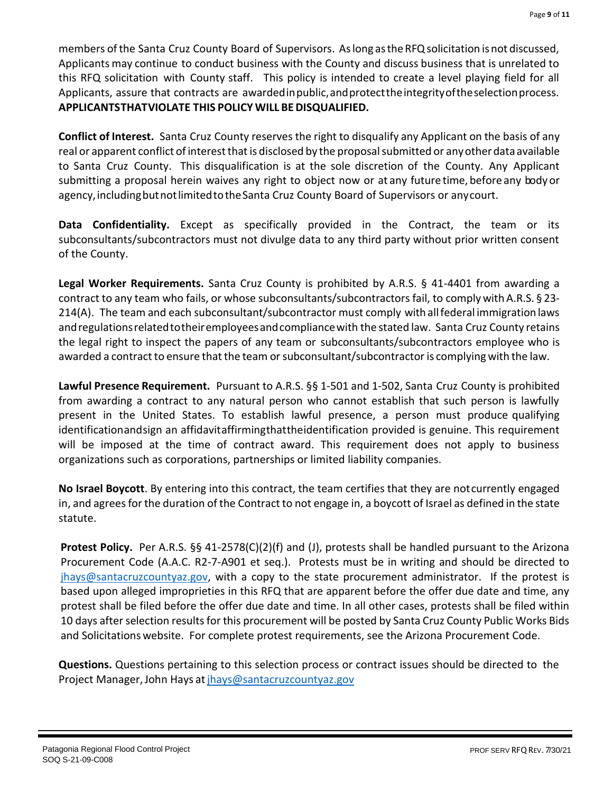members of the Santa Cruz County Board of Supervisors. As long as the RFQ solicitation is not discussed, Applicants may continue to conduct business with the County and discuss business that is unrelated to this RFQ solicitation with County staff. This policy is intended to create a level playing field for all Applicants, assure that contracts are awarded in public, and protect the integrity of the selection process. **APPLICANTSTHATVIOLATE THIS POLICY WILL BEDISQUALIFIED.**

**Conflict of Interest.** Santa Cruz County reserves the right to disqualify any Applicant on the basis of any real or apparent conflict of interest that is disclosed by the proposal submitted or any other data available to Santa Cruz County. This disqualification is at the sole discretion of the County. Any Applicant submitting a proposal herein waives any right to object now or at any future time, before any bodyor agency, including but not limited to the Santa Cruz County Board of Supervisors or any court.

**Data Confidentiality.** Except as specifically provided in the Contract, the team or its subconsultants/subcontractors must not divulge data to any third party without prior written consent of the County.

**Legal Worker Requirements.** Santa Cruz County is prohibited by A.R.S. § 41-4401 from awarding a contract to any team who fails, or whose subconsultants/subcontractors fail, to comply with A.R.S. § 23- 214(A). The team and each subconsultant/subcontractor must comply with allfederal immigration laws andregulationsrelatedtotheiremployeesandcompliancewith the stated law. Santa Cruz County retains the legal right to inspect the papers of any team or subconsultants/subcontractors employee who is awarded a contract to ensure that the team or subconsultant/subcontractor is complying with the law.

**Lawful Presence Requirement.** Pursuant to A.R.S. §§ 1-501 and 1-502, Santa Cruz County is prohibited from awarding a contract to any natural person who cannot establish that such person is lawfully present in the United States. To establish lawful presence, a person must produce qualifying identificationandsign an affidavitaffirmingthattheidentification provided is genuine. This requirement will be imposed at the time of contract award. This requirement does not apply to business organizations such as corporations, partnerships or limited liability companies.

**No Israel Boycott**. By entering into this contract, the team certifies that they are notcurrently engaged in, and agreesfor the duration of the Contract to not engage in, a boycott of Israel as defined in the state statute.

**Protest Policy.** Per A.R.S. §§ 41-2578(C)(2)(f) and (J), protests shall be handled pursuant to the Arizona Procurement Code (A.A.C. R2-7-A901 et seq.). Protests must be in writing and should be directed to [jhays@santacruzcountyaz.gov,](mailto:jhays@santacruzcountyaz.gov) with a copy to the state procurement administrator. If the protest is based upon alleged improprieties in this RFQ that are apparent before the offer due date and time, any protest shall be filed before the offer due date and time. In all other cases, protests shall be filed within 10 days after selection results for this procurement will be posted by Santa Cruz County Public Works Bids and Solicitations website. For complete protest requirements, see the Arizona Procurement Code.

**Questions.** Questions pertaining to this selection process or contract issues should be directed to the Project Manager, John Hays at jhays@santacruzcountyaz.gov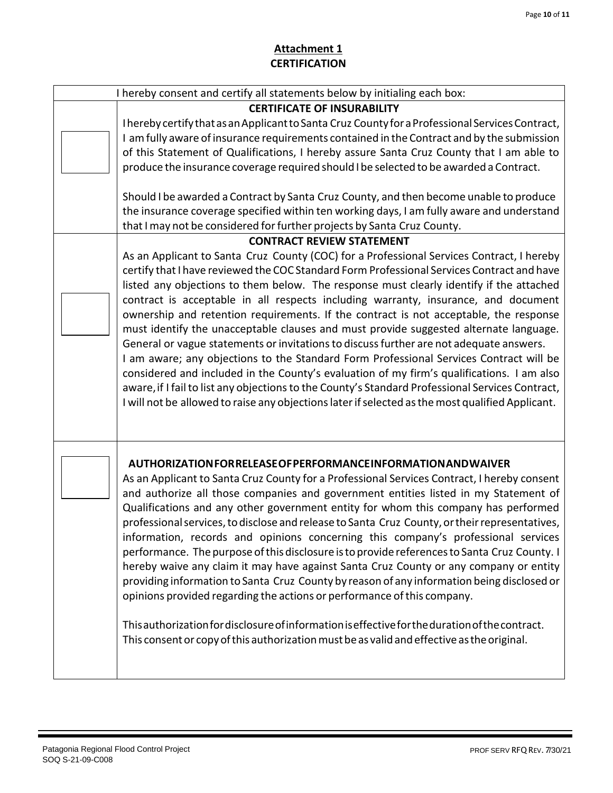# **Attachment 1 CERTIFICATION**

| I hereby consent and certify all statements below by initialing each box: |                                                                                                                                                                                                                                                                                                                                                                                                                                                                                                                                                                                                                                                                                                                                                                                                                                                                                                                                                                                                                                                                                                                                                                                                                                                                                                                                                                                                                                                                                                                                                                                                                                                                                      |  |  |  |  |  |  |  |
|---------------------------------------------------------------------------|--------------------------------------------------------------------------------------------------------------------------------------------------------------------------------------------------------------------------------------------------------------------------------------------------------------------------------------------------------------------------------------------------------------------------------------------------------------------------------------------------------------------------------------------------------------------------------------------------------------------------------------------------------------------------------------------------------------------------------------------------------------------------------------------------------------------------------------------------------------------------------------------------------------------------------------------------------------------------------------------------------------------------------------------------------------------------------------------------------------------------------------------------------------------------------------------------------------------------------------------------------------------------------------------------------------------------------------------------------------------------------------------------------------------------------------------------------------------------------------------------------------------------------------------------------------------------------------------------------------------------------------------------------------------------------------|--|--|--|--|--|--|--|
|                                                                           | <b>CERTIFICATE OF INSURABILITY</b><br>I hereby certify that as an Applicant to Santa Cruz County for a Professional Services Contract,<br>I am fully aware of insurance requirements contained in the Contract and by the submission<br>of this Statement of Qualifications, I hereby assure Santa Cruz County that I am able to<br>produce the insurance coverage required should I be selected to be awarded a Contract.<br>Should I be awarded a Contract by Santa Cruz County, and then become unable to produce<br>the insurance coverage specified within ten working days, I am fully aware and understand<br>that I may not be considered for further projects by Santa Cruz County.<br><b>CONTRACT REVIEW STATEMENT</b><br>As an Applicant to Santa Cruz County (COC) for a Professional Services Contract, I hereby<br>certify that I have reviewed the COC Standard Form Professional Services Contract and have<br>listed any objections to them below. The response must clearly identify if the attached<br>contract is acceptable in all respects including warranty, insurance, and document<br>ownership and retention requirements. If the contract is not acceptable, the response<br>must identify the unacceptable clauses and must provide suggested alternate language.<br>General or vague statements or invitations to discuss further are not adequate answers.<br>I am aware; any objections to the Standard Form Professional Services Contract will be<br>considered and included in the County's evaluation of my firm's qualifications. I am also<br>aware, if I fail to list any objections to the County's Standard Professional Services Contract, |  |  |  |  |  |  |  |
|                                                                           | I will not be allowed to raise any objections later if selected as the most qualified Applicant.<br>AUTHORIZATION FOR RELEASE OF PERFORMANCE INFORMATION AND WAIVER<br>As an Applicant to Santa Cruz County for a Professional Services Contract, I hereby consent<br>and authorize all those companies and government entities listed in my Statement of<br>Qualifications and any other government entity for whom this company has performed<br>professional services, to disclose and release to Santa Cruz County, or their representatives,<br>information, records and opinions concerning this company's professional services<br>performance. The purpose of this disclosure is to provide references to Santa Cruz County. I<br>hereby waive any claim it may have against Santa Cruz County or any company or entity<br>providing information to Santa Cruz County by reason of any information being disclosed or<br>opinions provided regarding the actions or performance of this company.<br>This authorization for disclosure of information is effective for the duration of the contract.<br>This consent or copy of this authorization must be as valid and effective as the original.                                                                                                                                                                                                                                                                                                                                                                                                                                                                            |  |  |  |  |  |  |  |